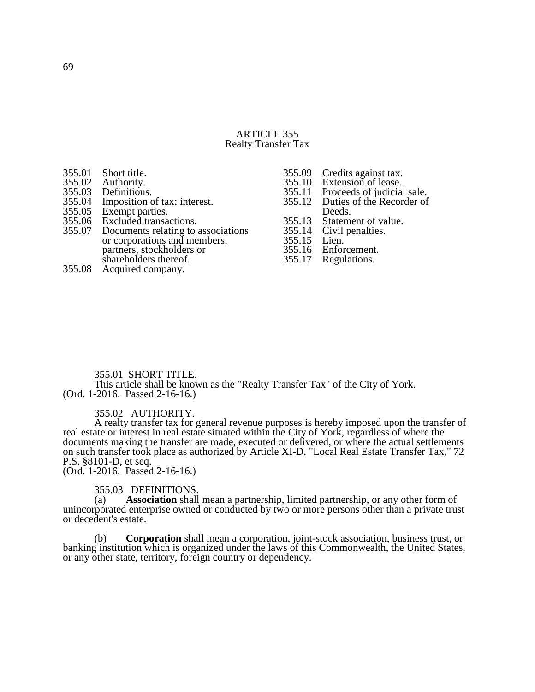#### ARTICLE 355 Realty Transfer Tax

| 355.01 | Short title.                       |        | 355.09 Credits against tax.      |
|--------|------------------------------------|--------|----------------------------------|
| 355.02 | Authority.                         |        | 355.10 Extension of lease.       |
| 355.03 | Definitions.                       | 355.11 | Proceeds of judicial sale.       |
| 355.04 | Imposition of tax; interest.       |        | 355.12 Duties of the Recorder of |
| 355.05 | Exempt parties.                    |        | Deeds.                           |
|        | 355.06 Excluded transactions.      |        | 355.13 Statement of value.       |
| 355.07 | Documents relating to associations |        | 355.14 Civil penalties.          |
|        | or corporations and members,       | 355.15 | Lien.                            |
|        | partners, stockholders or          |        | 355.16 Enforcement.              |
|        | shareholders thereof.              | 355.17 | Regulations.                     |
| 355.08 | Acquired company.                  |        |                                  |
|        |                                    |        |                                  |

### 355.01 SHORT TITLE.

This article shall be known as the "Realty Transfer Tax" of the City of York. (Ord. 1-2016. Passed 2-16-16.)

355.02 AUTHORITY.

A realty transfer tax for general revenue purposes is hereby imposed upon the transfer of real estate or interest in real estate situated within the City of York, regardless of where the documents making the transfer are made, executed or delivered, or where the actual settlements on such transfer took place as authorized by Article XI-D, "Local Real Estate Transfer Tax," 72 P.S. §8101-D, et seq.

(Ord. 1-2016. Passed 2-16-16.)

# 355.03 DEFINITIONS.<br>(a) **Association** shall

Association shall mean a partnership, limited partnership, or any other form of unincorporated enterprise owned or conducted by two or more persons other than a private trust or decedent's estate.

(b) **Corporation** shall mean a corporation, joint-stock association, business trust, or banking institution which is organized under the laws of this Commonwealth, the United States, or any other state, territory, foreign country or dependency.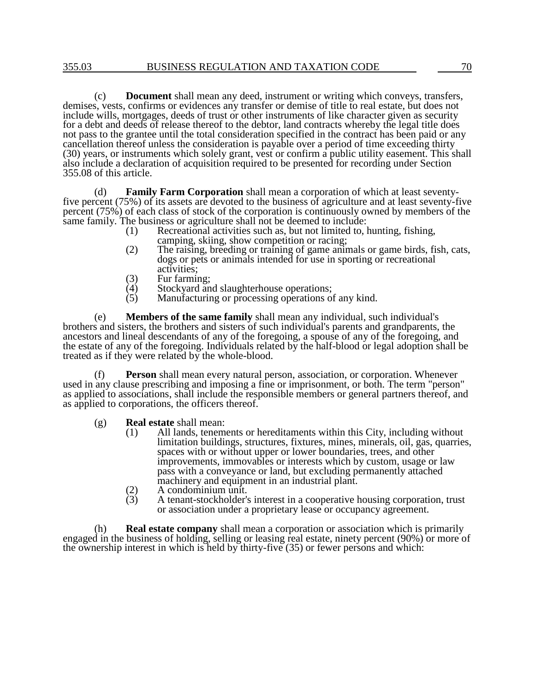(c) **Document** shall mean any deed, instrument or writing which conveys, transfers, demises, vests, confirms or evidences any transfer or demise of title to real estate, but does not include wills, mortgages, deeds of trust or other instruments of like character given as security for a debt and deeds of release thereof to the debtor, land contracts whereby the legal title does not pass to the grantee until the total consideration specified in the contract has been paid or any cancellation thereof unless the consideration is payable over a period of time exceeding thirty (30) years, or instruments which solely grant, vest or confirm a public utility easement. This shall also include a declaration of acquisition required to be presented for recording under Section 355.08 of this article.

(d) **Family Farm Corporation** shall mean a corporation of which at least seventyfive percent (75%) of its assets are devoted to the business of agriculture and at least seventy-five percent (75%) of each class of stock of the corporation is continuously owned by members of the same family. The business or agriculture shall not be deemed to include:<br>(1) Recreational activities such as, but not limited to, l

- Recreational activities such as, but not limited to, hunting, fishing, camping, skiing, show competition or racing;
- (2) The raising, breeding or training of game animals or game birds, fish, cats, dogs or pets or animals intended for use in sporting or recreational activities;
- (3) Fur farming;
- $(4)$  Stockyard and slaughterhouse operations;<br> $(5)$  Manufacturing or processing operations of
- Manufacturing or processing operations of any kind.

(e) **Members of the same family** shall mean any individual, such individual's brothers and sisters, the brothers and sisters of such individual's parents and grandparents, the ancestors and lineal descendants of any of the foregoing, a spouse of any of the foregoing, and the estate of any of the foregoing. Individuals related by the half-blood or legal adoption shall be treated as if they were related by the whole-blood.

(f) **Person** shall mean every natural person, association, or corporation. Whenever used in any clause prescribing and imposing a fine or imprisonment, or both. The term "person" as applied to associations, shall include the responsible members or general partners thereof, and as applied to corporations, the officers thereof.

- (g) **Real estate** shall mean:
	- (1) All lands, tenements or hereditaments within this City, including without limitation buildings, structures, fixtures, mines, minerals, oil, gas, quarries, spaces with or without upper or lower boundaries, trees, and other improvements, immovables or interests which by custom, usage or law pass with a conveyance or land, but excluding permanently attached machinery and equipment in an industrial plant.
	- (2) A condominium unit.<br>
	(3) A tenant-stockholder's
	- (3) A tenant-stockholder's interest in a cooperative housing corporation, trust or association under a proprietary lease or occupancy agreement.

(h) **Real estate company** shall mean a corporation or association which is primarily engaged in the business of holding, selling or leasing real estate, ninety percent (90%) or more of the ownership interest in which is held by thirty-five (35) or fewer persons and which: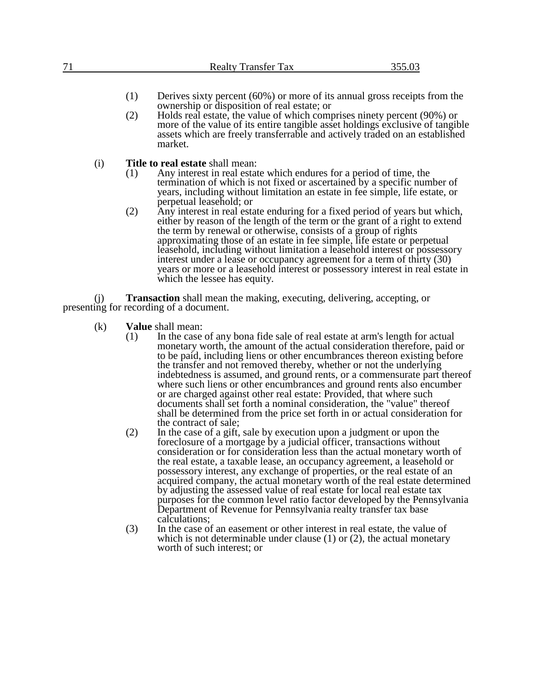| 71  | <b>Realty Transfer Tax</b>                                                                                                                                                                                                                                                                                                                                                                                                                                                                                                                                                                                                                                                                                                                                                                                                                                                                                   | 355.03 |
|-----|--------------------------------------------------------------------------------------------------------------------------------------------------------------------------------------------------------------------------------------------------------------------------------------------------------------------------------------------------------------------------------------------------------------------------------------------------------------------------------------------------------------------------------------------------------------------------------------------------------------------------------------------------------------------------------------------------------------------------------------------------------------------------------------------------------------------------------------------------------------------------------------------------------------|--------|
|     | (1)<br>Derives sixty percent $(60\%)$ or more of its annual gross receipts from the<br>ownership or disposition of real estate; or<br>Holds real estate, the value of which comprises ninety percent (90%) or<br>(2)<br>more of the value of its entire tangible asset holdings exclusive of tangible<br>assets which are freely transferrable and actively traded on an established<br>market.                                                                                                                                                                                                                                                                                                                                                                                                                                                                                                              |        |
| (i) | <b>Title to real estate shall mean:</b><br>Any interest in real estate which endures for a period of time, the<br>(1)<br>termination of which is not fixed or ascertained by a specific number of<br>years, including without limitation an estate in fee simple, life estate, or<br>perpetual leasehold; or<br>(2)<br>Any interest in real estate enduring for a fixed period of years but which,<br>either by reason of the length of the term or the grant of a right to extend<br>the term by renewal or otherwise, consists of a group of rights<br>approximating those of an estate in fee simple, life estate or perpetual<br>leasehold, including without limitation a leasehold interest or possessory<br>interest under a lease or occupancy agreement for a term of thirty (30)<br>years or more or a leasehold interest or possessory interest in real estate in<br>which the lessee has equity. |        |
| (1) | <b>Transaction</b> shall mean the making, executing, delivering, accepting, or<br>presenting for recording of a document.                                                                                                                                                                                                                                                                                                                                                                                                                                                                                                                                                                                                                                                                                                                                                                                    |        |
| (k) | <b>Value</b> shall mean:                                                                                                                                                                                                                                                                                                                                                                                                                                                                                                                                                                                                                                                                                                                                                                                                                                                                                     |        |

- (1) In the case of any bona fide sale of real estate at arm's length for actual monetary worth, the amount of the actual consideration therefore, paid or to be paid, including liens or other encumbrances thereon existing before the transfer and not removed thereby, whether or not the underlying indebtedness is assumed, and ground rents, or a commensurate part thereof where such liens or other encumbrances and ground rents also encumber or are charged against other real estate: Provided, that where such documents shall set forth a nominal consideration, the "value" thereof shall be determined from the price set forth in or actual consideration for the contract of sale;
- (2) In the case of a gift, sale by execution upon a judgment or upon the foreclosure of a mortgage by a judicial officer, transactions without consideration or for consideration less than the actual monetary worth of the real estate, a taxable lease, an occupancy agreement, a leasehold or possessory interest, any exchange of properties, or the real estate of an acquired company, the actual monetary worth of the real estate determined by adjusting the assessed value of real estate for local real estate tax purposes for the common level ratio factor developed by the Pennsylvania Department of Revenue for Pennsylvania realty transfer tax base calculations;
- (3) In the case of an easement or other interest in real estate, the value of which is not determinable under clause  $(1)$  or  $(2)$ , the actual monetary worth of such interest; or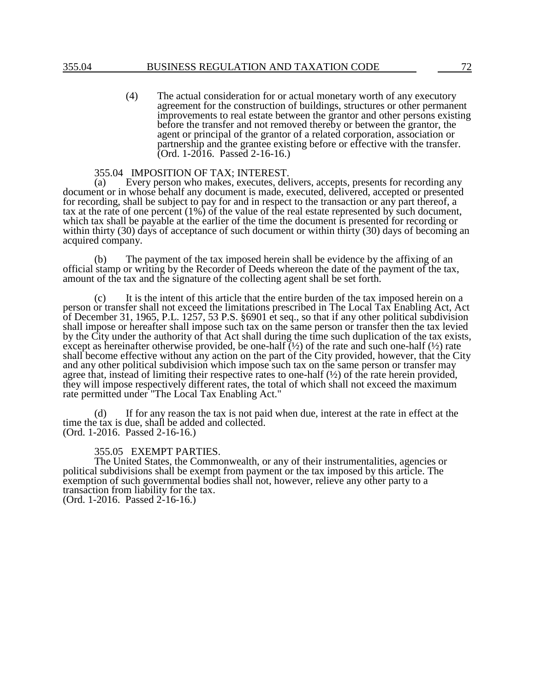(4) The actual consideration for or actual monetary worth of any executory agreement for the construction of buildings, structures or other permanent improvements to real estate between the grantor and other persons existing before the transfer and not removed thereby or between the grantor, the agent or principal of the grantor of a related corporation, association or partnership and the grantee existing before or effective with the transfer. (Ord. 1-2016. Passed 2-16-16.)

# 355.04 IMPOSITION OF TAX; INTEREST.<br>(a) Every person who makes, executes, dela

Every person who makes, executes, delivers, accepts, presents for recording any document or in whose behalf any document is made, executed, delivered, accepted or presented for recording, shall be subject to pay for and in respect to the transaction or any part thereof, a tax at the rate of one percent (1%) of the value of the real estate represented by such document, which tax shall be payable at the earlier of the time the document is presented for recording or within thirty (30) days of acceptance of such document or within thirty (30) days of becoming an acquired company.

(b) The payment of the tax imposed herein shall be evidence by the affixing of an official stamp or writing by the Recorder of Deeds whereon the date of the payment of the tax, amount of the tax and the signature of the collecting agent shall be set forth.

(c) It is the intent of this article that the entire burden of the tax imposed herein on a person or transfer shall not exceed the limitations prescribed in The Local Tax Enabling Act, Act of December 31, 1965, P.L. 1257, 53 P.S. §6901 et seq., so that if any other political subdivision shall impose or hereafter shall impose such tax on the same person or transfer then the tax levied by the City under the authority of that Act shall during the time such duplication of the tax exists, except as hereinafter otherwise provided, be one-half  $(\frac{1}{2})$  of the rate and such one-half  $(\frac{1}{2})$  rate shall become effective without any action on the part of the City provided, however, that the City and any other political subdivision which impose such tax on the same person or transfer may agree that, instead of limiting their respective rates to one-half (½) of the rate herein provided, they will impose respectively different rates, the total of which shall not exceed the maximum rate permitted under "The Local Tax Enabling Act."

(d) If for any reason the tax is not paid when due, interest at the rate in effect at the time the tax is due, shall be added and collected. (Ord. 1-2016. Passed 2-16-16.)

### 355.05 EXEMPT PARTIES.

The United States, the Commonwealth, or any of their instrumentalities, agencies or political subdivisions shall be exempt from payment or the tax imposed by this article. The exemption of such governmental bodies shall not, however, relieve any other party to a transaction from liability for the tax. (Ord. 1-2016. Passed 2-16-16.)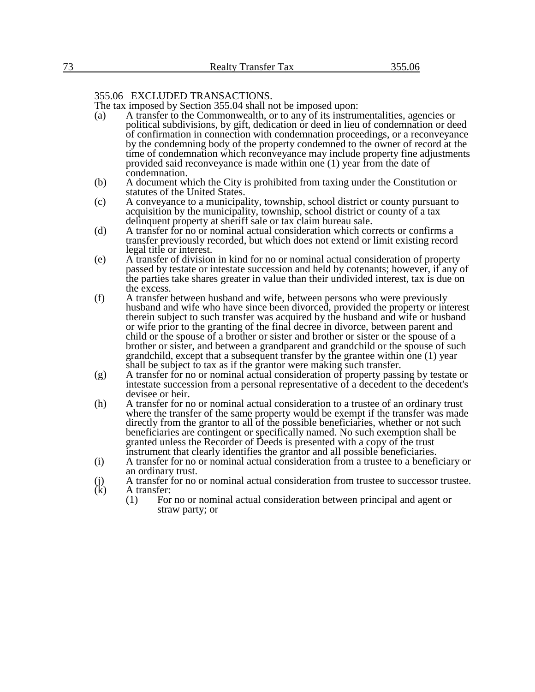### 355.06 EXCLUDED TRANSACTIONS.

The tax imposed by Section 355.04 shall not be imposed upon:

- (a) A transfer to the Commonwealth, or to any of its instrumentalities, agencies or political subdivisions, by gift, dedication or deed in lieu of condemnation or deed of confirmation in connection with condemnation proceedings, or a reconveyance by the condemning body of the property condemned to the owner of record at the time of condemnation which reconveyance may include property fine adjustments provided said reconveyance is made within one (1) year from the date of condemnation.
- (b) A document which the City is prohibited from taxing under the Constitution or statutes of the United States.
- (c) A conveyance to a municipality, township, school district or county pursuant to acquisition by the municipality, township, school district or county of a tax delinquent property at sheriff sale or tax claim bureau sale.
- (d) A transfer for no or nominal actual consideration which corrects or confirms a transfer previously recorded, but which does not extend or limit existing record legal title or interest.
- (e) A transfer of division in kind for no or nominal actual consideration of property passed by testate or intestate succession and held by cotenants; however, if any of the parties take shares greater in value than their undivided interest, tax is due on the excess.
- (f) A transfer between husband and wife, between persons who were previously husband and wife who have since been divorced, provided the property or interest therein subject to such transfer was acquired by the husband and wife or husband or wife prior to the granting of the final decree in divorce, between parent and child or the spouse of a brother or sister and brother or sister or the spouse of a brother or sister, and between a grandparent and grandchild or the spouse of such grandchild, except that a subsequent transfer by the grantee within one (1) year shall be subject to tax as if the grantor were making such transfer.
- (g) A transfer for no or nominal actual consideration of property passing by testate or intestate succession from a personal representative of a decedent to the decedent's devisee or heir.
- (h) A transfer for no or nominal actual consideration to a trustee of an ordinary trust where the transfer of the same property would be exempt if the transfer was made directly from the grantor to all of the possible beneficiaries, whether or not such beneficiaries are contingent or specifically named. No such exemption shall be granted unless the Recorder of Deeds is presented with a copy of the trust instrument that clearly identifies the grantor and all possible beneficiaries.
- (i) A transfer for no or nominal actual consideration from a trustee to a beneficiary or an ordinary trust.
- (j) A transfer for no or nominal actual consideration from trustee to successor trustee.<br>(k) A transfer: A transfer:
	- (1) For no or nominal actual consideration between principal and agent or straw party; or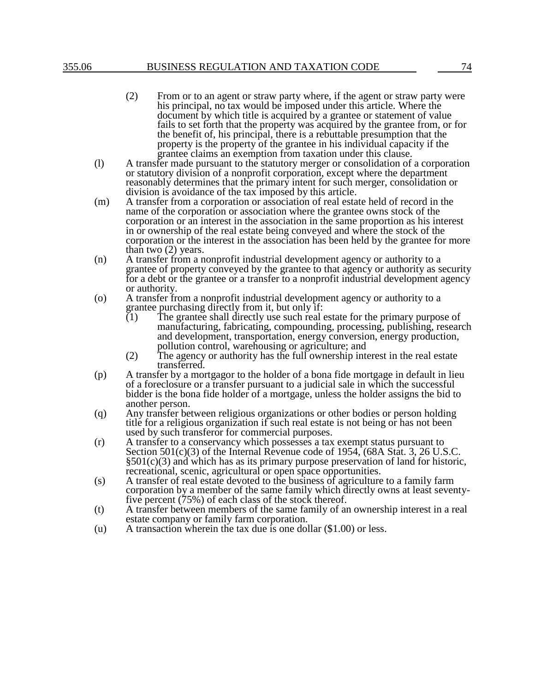### 355.06 BUSINESS REGULATION AND TAXATION CODE 74

- (2) From or to an agent or straw party where, if the agent or straw party were his principal, no tax would be imposed under this article. Where the document by which title is acquired by a grantee or statement of value fails to set forth that the property was acquired by the grantee from, or for the benefit of, his principal, there is a rebuttable presumption that the property is the property of the grantee in his individual capacity if the grantee claims an exemption from taxation under this clause.
- (l) A transfer made pursuant to the statutory merger or consolidation of a corporation or statutory division of a nonprofit corporation, except where the department reasonably determines that the primary intent for such merger, consolidation or division is avoidance of the tax imposed by this article.
- (m) A transfer from a corporation or association of real estate held of record in the name of the corporation or association where the grantee owns stock of the corporation or an interest in the association in the same proportion as his interest in or ownership of the real estate being conveyed and where the stock of the corporation or the interest in the association has been held by the grantee for more than two (2) years.
- (n) A transfer from a nonprofit industrial development agency or authority to a grantee of property conveyed by the grantee to that agency or authority as security for a debt or the grantee or a transfer to a nonprofit industrial development agency or authority.
- (o) A transfer from a nonprofit industrial development agency or authority to a grantee purchasing directly from it, but only if:<br>(1) The grantee shall directly use such real
	- The grantee shall directly use such real estate for the primary purpose of manufacturing, fabricating, compounding, processing, publishing, research and development, transportation, energy conversion, energy production, pollution control, warehousing or agriculture; and
	- (2) The agency or authority has the full ownership interest in the real estate transferred.
- (p) A transfer by a mortgagor to the holder of a bona fide mortgage in default in lieu of a foreclosure or a transfer pursuant to a judicial sale in which the successful bidder is the bona fide holder of a mortgage, unless the holder assigns the bid to another person.
- (q) Any transfer between religious organizations or other bodies or person holding title for a religious organization if such real estate is not being or has not been used by such transferor for commercial purposes.
- (r) A transfer to a conservancy which possesses a tax exempt status pursuant to Section  $501(c)(3)$  of the Internal Revenue code of  $1954$ ,  $(68A Stat. 3, 26 U.S.C.$ §501(c)(3) and which has as its primary purpose preservation of land for historic, recreational, scenic, agricultural or open space opportunities.
- (s) A transfer of real estate devoted to the business of agriculture to a family farm corporation by a member of the same family which directly owns at least seventyfive percent (75%) of each class of the stock thereof.
- (t) A transfer between members of the same family of an ownership interest in a real estate company or family farm corporation.
- (u) A transaction wherein the tax due is one dollar (\$1.00) or less.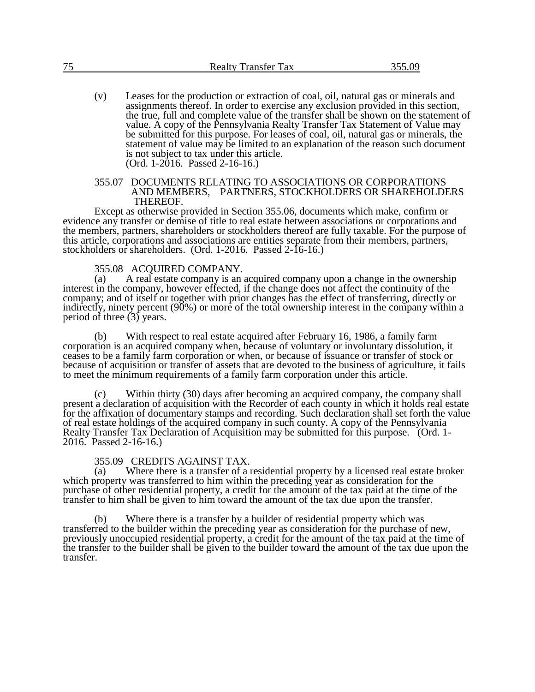(v) Leases for the production or extraction of coal, oil, natural gas or minerals and assignments thereof. In order to exercise any exclusion provided in this section, the true, full and complete value of the transfer shall be shown on the statement of value. A copy of the Pennsylvania Realty Transfer Tax Statement of Value may be submitted for this purpose. For leases of coal, oil, natural gas or minerals, the statement of value may be limited to an explanation of the reason such document is not subject to tax under this article. (Ord. 1-2016. Passed 2-16-16.)

#### 355.07 DOCUMENTS RELATING TO ASSOCIATIONS OR CORPORATIONS AND MEMBERS, PARTNERS, STOCKHOLDERS OR SHAREHOLDERS THEREOF.

Except as otherwise provided in Section 355.06, documents which make, confirm or evidence any transfer or demise of title to real estate between associations or corporations and the members, partners, shareholders or stockholders thereof are fully taxable. For the purpose of this article, corporations and associations are entities separate from their members, partners, stockholders or shareholders. (Ord. 1-2016. Passed 2-16-16.)

#### 355.08 ACQUIRED COMPANY.

(a) A real estate company is an acquired company upon a change in the ownership interest in the company, however effected, if the change does not affect the continuity of the company; and of itself or together with prior changes has the effect of transferring, directly or indirectly, ninety percent (90%) or more of the total ownership interest in the company within a period of three (3) years.

(b) With respect to real estate acquired after February 16, 1986, a family farm corporation is an acquired company when, because of voluntary or involuntary dissolution, it ceases to be a family farm corporation or when, or because of issuance or transfer of stock or because of acquisition or transfer of assets that are devoted to the business of agriculture, it fails to meet the minimum requirements of a family farm corporation under this article.

(c) Within thirty (30) days after becoming an acquired company, the company shall present a declaration of acquisition with the Recorder of each county in which it holds real estate for the affixation of documentary stamps and recording. Such declaration shall set forth the value of real estate holdings of the acquired company in such county. A copy of the Pennsylvania Realty Transfer Tax Declaration of Acquisition may be submitted for this purpose. (Ord. 1- 2016. Passed 2-16-16.)

## 355.09 CREDITS AGAINST TAX.<br>(a) Where there is a transfer of a 1

Where there is a transfer of a residential property by a licensed real estate broker which property was transferred to him within the preceding year as consideration for the purchase of other residential property, a credit for the amount of the tax paid at the time of the transfer to him shall be given to him toward the amount of the tax due upon the transfer.

(b) Where there is a transfer by a builder of residential property which was transferred to the builder within the preceding year as consideration for the purchase of new, previously unoccupied residential property, a credit for the amount of the tax paid at the time of the transfer to the builder shall be given to the builder toward the amount of the tax due upon the transfer.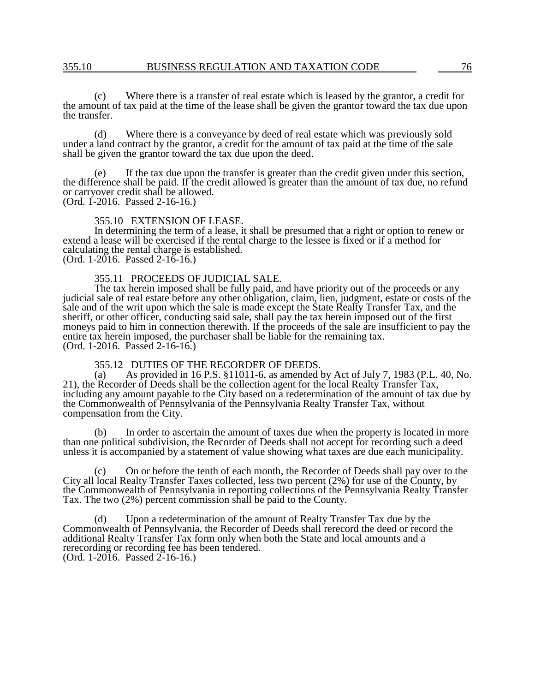(c) Where there is a transfer of real estate which is leased by the grantor, a credit for the amount of tax paid at the time of the lease shall be given the grantor toward the tax due upon the transfer.

(d) Where there is a conveyance by deed of real estate which was previously sold under a land contract by the grantor, a credit for the amount of tax paid at the time of the sale shall be given the grantor toward the tax due upon the deed.

(e) If the tax due upon the transfer is greater than the credit given under this section, the difference shall be paid. If the credit allowed is greater than the amount of tax due, no refund or carryover credit shall be allowed.

(Ord. 1-2016. Passed 2-16-16.)

355.10 EXTENSION OF LEASE.

In determining the term of a lease, it shall be presumed that a right or option to renew or extend a lease will be exercised if the rental charge to the lessee is fixed or if a method for calculating the rental charge is established.

(Ord. 1-2016. Passed 2-16-16.)

355.11 PROCEEDS OF JUDICIAL SALE.

The tax herein imposed shall be fully paid, and have priority out of the proceeds or any judicial sale of real estate before any other obligation, claim, lien, judgment, estate or costs of the sale and of the writ upon which the sale is made except the State Realty Transfer Tax, and the sheriff, or other officer, conducting said sale, shall pay the tax herein imposed out of the first moneys paid to him in connection therewith. If the proceeds of the sale are insufficient to pay the entire tax herein imposed, the purchaser shall be liable for the remaining tax. (Ord. 1-2016. Passed 2-16-16.)

# 355.12 DUTIES OF THE RECORDER OF DEEDS.<br>(a) As provided in 16 P.S. §11011-6, as amended b

As provided in 16 P.S. §11011-6, as amended by Act of July 7, 1983 (P.L. 40, No. 21), the Recorder of Deeds shall be the collection agent for the local Realty Transfer Tax, including any amount payable to the City based on a redetermination of the amount of tax due by the Commonwealth of Pennsylvania of the Pennsylvania Realty Transfer Tax, without compensation from the City.

(b) In order to ascertain the amount of taxes due when the property is located in more than one political subdivision, the Recorder of Deeds shall not accept for recording such a deed unless it is accompanied by a statement of value showing what taxes are due each municipality.

(c) On or before the tenth of each month, the Recorder of Deeds shall pay over to the City all local Realty Transfer Taxes collected, less two percent (2%) for use of the County, by the Commonwealth of Pennsylvania in reporting collections of the Pennsylvania Realty Transfer Tax. The two (2%) percent commission shall be paid to the County.

(d) Upon a redetermination of the amount of Realty Transfer Tax due by the Commonwealth of Pennsylvania, the Recorder of Deeds shall rerecord the deed or record the additional Realty Transfer Tax form only when both the State and local amounts and a rerecording or recording fee has been tendered. (Ord. 1-2016. Passed 2-16-16.)